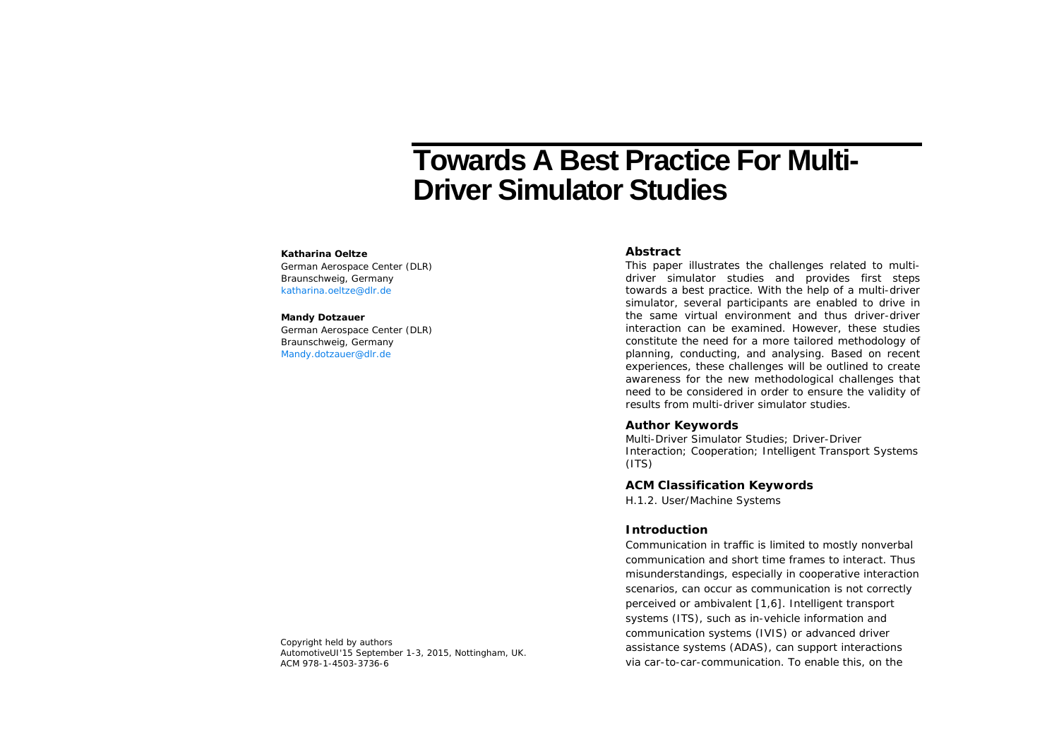# **Towards A Best Practice For Multi-Driver Simulator Studies**

#### **Katharina Oeltze**

German Aerospace Center (DLR) Braunschweig, Germany katharina.oeltze@dlr.de

#### **Mandy Dotzauer**

German Aerospace Center (DLR) Braunschweig, Germany Mandy.dotzauer@dlr.de

#### **Abstract**

This paper illustrates the challenges related to multidriver simulator studies and provides first steps towards a best practice. With the help of a multi-driver simulator, several participants are enabled to drive in the same virtual environment and thus driver-driver interaction can be examined. However, these studies constitute the need for a more tailored methodology of planning, conducting, and analysing. Based on recent experiences, these challenges will be outlined to create awareness for the new methodological challenges that need to be considered in order to ensure the validity of results from multi-driver simulator studies.

## **Author Keywords**

Multi-Driver Simulator Studies; Driver-Driver Interaction; Cooperation; Intelligent Transport Systems  $(ITS)$ 

# **ACM Classification Keywords**

H.1.2. User/Machine Systems

# **Introduction**

Communication in traffic is limited to mostly nonverbal communication and short time frames to interact. Thus misunderstandings, especially in cooperative interaction scenarios, can occur as communication is not correctly perceived or ambivalent [1,6]. Intelligent transport systems (ITS), such as in-vehicle information and communication systems (IVIS) or advanced driver assistance systems (ADAS), can support interactions via car-to-car-communication. To enable this, on the

Copyright held by authors *AutomotiveUI'15* September 1-3, 2015, Nottingham, UK. ACM 978-1-4503-3736-6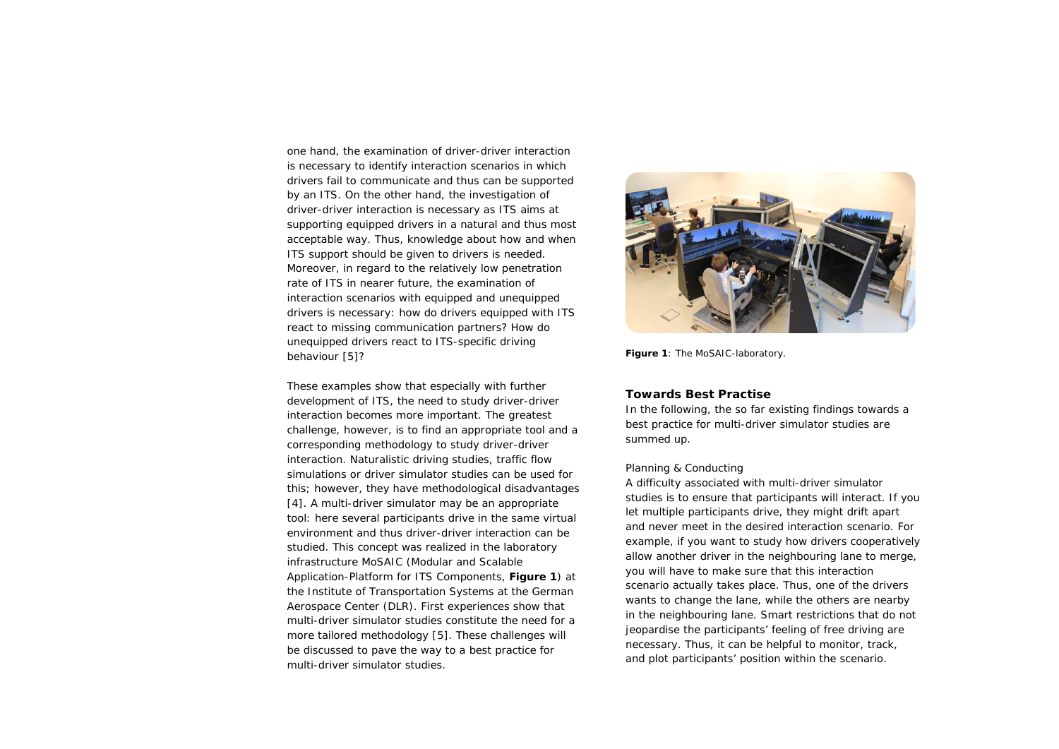one hand, the examination of driver-driver interaction is necessary to identify interaction scenarios in which drivers fail to communicate and thus can be supported by an ITS. On the other hand, the investigation of driver-driver interaction is necessary as ITS aims at supporting equipped drivers in a natural and thus most acceptable way. Thus, knowledge about how and when ITS support should be given to drivers is needed. Moreover, in regard to the relatively low penetration rate of ITS in nearer future, the examination of interaction scenarios with equipped and unequipped drivers is necessary: how do drivers equipped with ITS react to missing communication partners? How do unequipped drivers react to ITS-specific driving behaviour [5]?

These examples show that especially with further development of ITS, the need to study driver-driver interaction becomes more important. The greatest challenge, however, is to find an appropriate tool and a corresponding methodology to study driver-driver interaction. Naturalistic driving studies, traffic flow simulations or driver simulator studies can be used for this; however, they have methodological disadvantages [4]. A multi-driver simulator may be an appropriate tool: here several participants drive in the same virtual environment and thus driver-driver interaction can be studied. This concept was realized in the laboratory infrastructure MoSAIC (Modular and Scalable Application-Platform for ITS Components, **Figure 1**) at the Institute of Transportation Systems at the German Aerospace Center (DLR). First experiences show that multi-driver simulator studies constitute the need for a more tailored methodology [5]. These challenges will be discussed to pave the way to a best practice for multi-driver simulator studies.



**Figure 1**: The MoSAIC-laboratory.

## **Towards Best Practise**

In the following, the so far existing findings towards a best practice for multi-driver simulator studies are summed up.

## *Planning & Conducting*

A difficulty associated with multi-driver simulator studies is to ensure that participants will interact. If you let multiple participants drive, they might drift apart and never meet in the desired interaction scenario. For example, if you want to study how drivers cooperatively allow another driver in the neighbouring lane to merge, you will have to make sure that this interaction scenario actually takes place. Thus, one of the drivers wants to change the lane, while the others are nearby in the neighbouring lane. Smart restrictions that do not jeopardise the participants' feeling of free driving are necessary. Thus, it can be helpful to monitor, track, and plot participants' position within the scenario.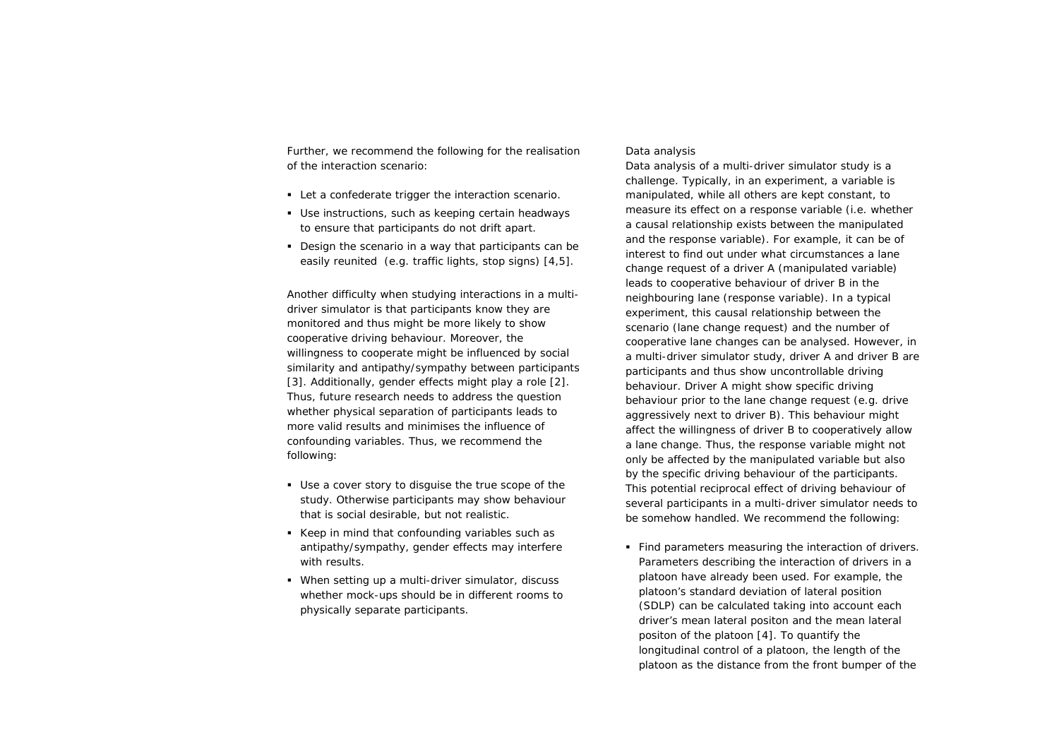Further, we recommend the following for the realisation of the interaction scenario:

- Let a confederate trigger the interaction scenario.
- Use instructions, such as keeping certain headways to ensure that participants do not drift apart.
- Design the scenario in a way that participants can be easily reunited (e.g. traffic lights, stop signs) [4,5].

Another difficulty when studying interactions in a multidriver simulator is that participants know they are monitored and thus might be more likely to show cooperative driving behaviour. Moreover, the willingness to cooperate might be influenced by social similarity and antipathy/sympathy between participants [3]. Additionally, gender effects might play a role [2]. Thus, future research needs to address the question whether physical separation of participants leads to more valid results and minimises the influence of confounding variables. Thus, we recommend the following:

- Use a cover story to disguise the true scope of the study. Otherwise participants may show behaviour that is social desirable, but not realistic.
- Keep in mind that confounding variables such as antipathy/sympathy, gender effects may interfere with results.
- When setting up a multi-driver simulator, discuss whether mock-ups should be in different rooms to physically separate participants.

#### *Data analysis*

Data analysis of a multi-driver simulator study is a challenge. Typically, in an experiment, a variable is manipulated, while all others are kept constant, to measure its effect on a response variable (i.e. whether a causal relationship exists between the manipulated and the response variable). For example, it can be of interest to find out under what circumstances a lane change request of a driver A (manipulated variable) leads to cooperative behaviour of driver B in the neighbouring lane (response variable). In a typical experiment, this causal relationship between the scenario (lane change request) and the number of cooperative lane changes can be analysed. However, in a multi-driver simulator study, driver A and driver B are participants and thus show uncontrollable driving behaviour. Driver A might show specific driving behaviour prior to the lane change request (e.g. drive aggressively next to driver B). This behaviour might affect the willingness of driver B to cooperatively allow a lane change. Thus, the response variable might not only be affected by the manipulated variable but also by the specific driving behaviour of the participants. This potential reciprocal effect of driving behaviour of several participants in a multi-driver simulator needs to be somehow handled. We recommend the following:

 Find parameters measuring the interaction of drivers. Parameters describing the interaction of drivers in a platoon have already been used. For example, the platoon's standard deviation of lateral position (SDLP) can be calculated taking into account each driver's mean lateral positon and the mean lateral positon of the platoon [4]. To quantify the longitudinal control of a platoon, the length of the platoon as the distance from the front bumper of the